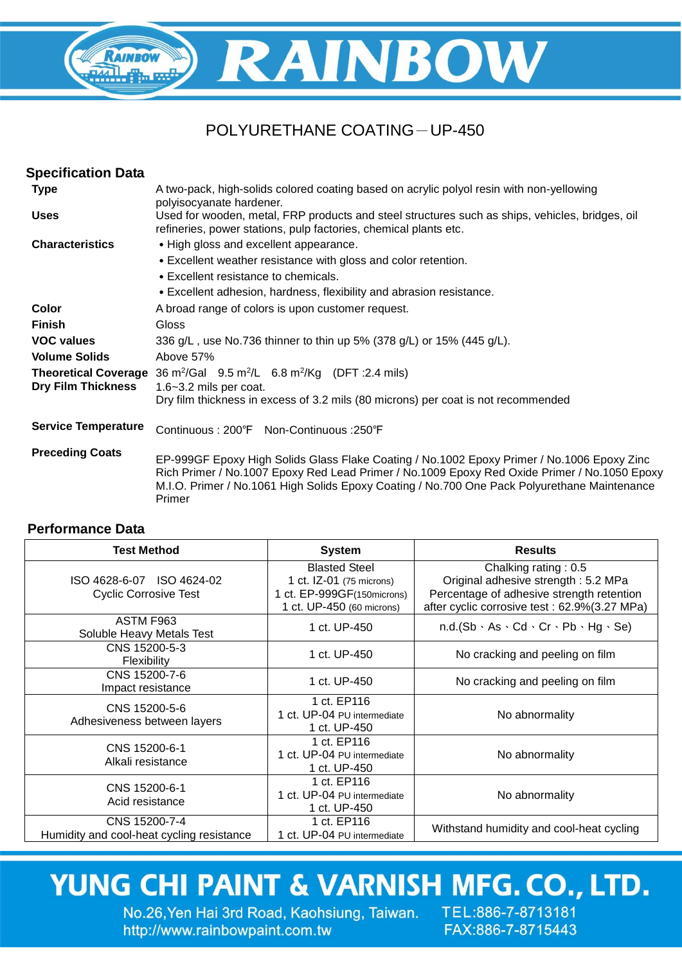## RAINBOW RAINBOW **RAIL The EX**

### POLYURETHANE COATING-UP-450

| <b>Specification Data</b>  |                                                                                                                                                                                                                                                                                                      |  |
|----------------------------|------------------------------------------------------------------------------------------------------------------------------------------------------------------------------------------------------------------------------------------------------------------------------------------------------|--|
| <b>Type</b>                | A two-pack, high-solids colored coating based on acrylic polyol resin with non-yellowing<br>polyisocyanate hardener.                                                                                                                                                                                 |  |
| <b>Uses</b>                | Used for wooden, metal, FRP products and steel structures such as ships, vehicles, bridges, oil<br>refineries, power stations, pulp factories, chemical plants etc.                                                                                                                                  |  |
| <b>Characteristics</b>     | • High gloss and excellent appearance.                                                                                                                                                                                                                                                               |  |
|                            | • Excellent weather resistance with gloss and color retention.                                                                                                                                                                                                                                       |  |
|                            | • Excellent resistance to chemicals.                                                                                                                                                                                                                                                                 |  |
|                            | • Excellent adhesion, hardness, flexibility and abrasion resistance.                                                                                                                                                                                                                                 |  |
| Color                      | A broad range of colors is upon customer request.                                                                                                                                                                                                                                                    |  |
| <b>Finish</b>              | Gloss                                                                                                                                                                                                                                                                                                |  |
| <b>VOC values</b>          | 336 g/L, use No.736 thinner to thin up 5% (378 g/L) or 15% (445 g/L).                                                                                                                                                                                                                                |  |
| <b>Volume Solids</b>       | Above 57%                                                                                                                                                                                                                                                                                            |  |
|                            | <b>Theoretical Coverage</b> 36 $m^2$ /Gal 9.5 $m^2$ /L 6.8 $m^2$ /Kg (DFT : 2.4 mils)                                                                                                                                                                                                                |  |
| <b>Dry Film Thickness</b>  | 1.6~3.2 mils per coat.                                                                                                                                                                                                                                                                               |  |
|                            | Dry film thickness in excess of 3.2 mils (80 microns) per coat is not recommended                                                                                                                                                                                                                    |  |
| <b>Service Temperature</b> | Continuous: 200°F Non-Continuous: 250°F                                                                                                                                                                                                                                                              |  |
| <b>Preceding Coats</b>     | EP-999GF Epoxy High Solids Glass Flake Coating / No.1002 Epoxy Primer / No.1006 Epoxy Zinc<br>Rich Primer / No.1007 Epoxy Red Lead Primer / No.1009 Epoxy Red Oxide Primer / No.1050 Epoxy<br>M.I.O. Primer / No.1061 High Solids Epoxy Coating / No.700 One Pack Polyurethane Maintenance<br>Primer |  |

#### **Performance Data**

| <b>Test Method</b>                                         | <b>System</b>                                                                                               | <b>Results</b>                                                                                                                                           |
|------------------------------------------------------------|-------------------------------------------------------------------------------------------------------------|----------------------------------------------------------------------------------------------------------------------------------------------------------|
| ISO 4628-6-07 ISO 4624-02<br><b>Cyclic Corrosive Test</b>  | <b>Blasted Steel</b><br>1 ct. IZ-01 (75 microns)<br>1 ct. EP-999GF(150microns)<br>1 ct. UP-450 (60 microns) | Chalking rating: 0.5<br>Original adhesive strength: 5.2 MPa<br>Percentage of adhesive strength retention<br>after cyclic corrosive test: 62.9%(3.27 MPa) |
| ASTM F963<br>Soluble Heavy Metals Test                     | 1 ct. UP-450                                                                                                | $n.d.(Sb \cdot As \cdot Cd \cdot Cr \cdot Pb \cdot Hg \cdot Se)$                                                                                         |
| CNS 15200-5-3<br><b>Flexibility</b>                        | 1 ct. UP-450                                                                                                | No cracking and peeling on film                                                                                                                          |
| CNS 15200-7-6<br>Impact resistance                         | 1 ct. UP-450                                                                                                | No cracking and peeling on film                                                                                                                          |
| CNS 15200-5-6<br>Adhesiveness between layers               | 1 ct. EP116<br>1 ct. UP-04 PU intermediate<br>1 ct. UP-450                                                  | No abnormality                                                                                                                                           |
| CNS 15200-6-1<br>Alkali resistance                         | 1 ct. EP116<br>1 ct. UP-04 PU intermediate<br>1 ct. UP-450                                                  | No abnormality                                                                                                                                           |
| CNS 15200-6-1<br>Acid resistance                           | 1 ct. EP116<br>1 ct. UP-04 PU intermediate<br>1 ct. UP-450                                                  | No abnormality                                                                                                                                           |
| CNS 15200-7-4<br>Humidity and cool-heat cycling resistance | 1 ct. EP116<br>1 ct. UP-04 PU intermediate                                                                  | Withstand humidity and cool-heat cycling                                                                                                                 |

# YUNG CHI PAINT & VARNISH MFG. CO., LTD.

No.26, Yen Hai 3rd Road, Kaohsiung, Taiwan. TEL:886-7-8713181 http://www.rainbowpaint.com.tw

FAX:886-7-8715443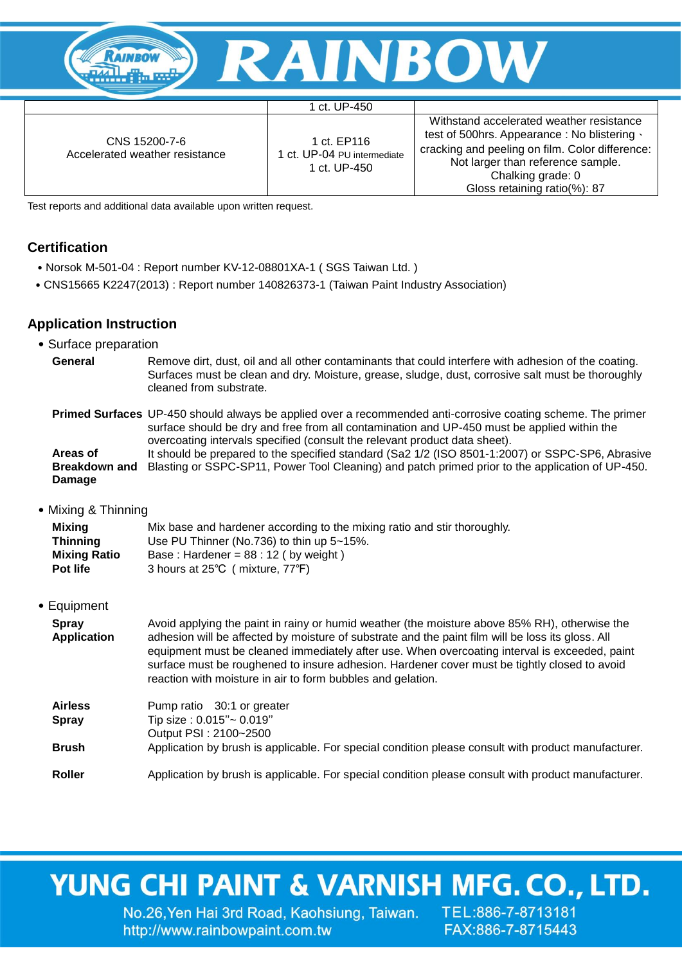

#### 1 ct. UP-450

CNS 15200-7-6 Accelerated weather resistance

1 ct. EP116 1 ct. UP-04 PU intermediate 1 ct. UP-450

Withstand accelerated weather resistance test of 500hrs. Appearance : No blistering、 cracking and peeling on film. Color difference: Not larger than reference sample. Chalking grade: 0 Gloss retaining ratio(%): 87

Test reports and additional data available upon written request.

#### **Certification**

- ˙Norsok M-501-04 : Report number KV-12-08801XA-1 ( SGS Taiwan Ltd. )
- ˙CNS15665 K2247(2013) : Report number 140826373-1 (Taiwan Paint Industry Association)

#### **Application Instruction**

- ˙Surface preparation
- General Remove dirt, dust, oil and all other contaminants that could interfere with adhesion of the coating. Surfaces must be clean and dry. Moisture, grease, sludge, dust, corrosive salt must be thoroughly cleaned from substrate.

#### **Primed Surfaces** UP-450 should always be applied over a recommended anti-corrosive coating scheme. The primer surface should be dry and free from all contamination and UP-450 must be applied within the overcoating intervals specified (consult the relevant product data sheet).

**Areas of Breakdown and**  Blasting or SSPC-SP11, Power Tool Cleaning) and patch primed prior to the application of UP-450. **Damage** It should be prepared to the specified standard (Sa2 1/2 (ISO 8501-1:2007) or SSPC-SP6, Abrasive

˙Mixing & Thinning

| Mixing              | Mix base and hardener according to the mixing ratio and stir thoroughly. |
|---------------------|--------------------------------------------------------------------------|
| <b>Thinning</b>     | Use PU Thinner (No.736) to thin up 5~15%.                                |
| <b>Mixing Ratio</b> | Base: Hardener = $88:12$ (by weight)                                     |
| <b>Pot life</b>     | 3 hours at 25°C (mixture, 77°F)                                          |

#### ˙Equipment

| <b>Spray</b><br><b>Application</b> | Avoid applying the paint in rainy or humid weather (the moisture above 85% RH), otherwise the<br>adhesion will be affected by moisture of substrate and the paint film will be loss its gloss. All<br>equipment must be cleaned immediately after use. When overcoating interval is exceeded, paint<br>surface must be roughened to insure adhesion. Hardener cover must be tightly closed to avoid<br>reaction with moisture in air to form bubbles and gelation. |
|------------------------------------|--------------------------------------------------------------------------------------------------------------------------------------------------------------------------------------------------------------------------------------------------------------------------------------------------------------------------------------------------------------------------------------------------------------------------------------------------------------------|
| <b>Airless</b><br><b>Spray</b>     | Pump ratio 30:1 or greater<br>Tip size: 0.015"~ 0.019"<br>Output PSI: 2100~2500                                                                                                                                                                                                                                                                                                                                                                                    |
| <b>Brush</b>                       | Application by brush is applicable. For special condition please consult with product manufacturer.                                                                                                                                                                                                                                                                                                                                                                |
| <b>Roller</b>                      | Application by brush is applicable. For special condition please consult with product manufacturer.                                                                                                                                                                                                                                                                                                                                                                |

## YUNG CHI PAINT & VARNISH MFG. CO., LTD.

No.26, Yen Hai 3rd Road, Kaohsiung, Taiwan. TEL:886-7-8713181 http://www.rainbowpaint.com.tw

FAX:886-7-8715443